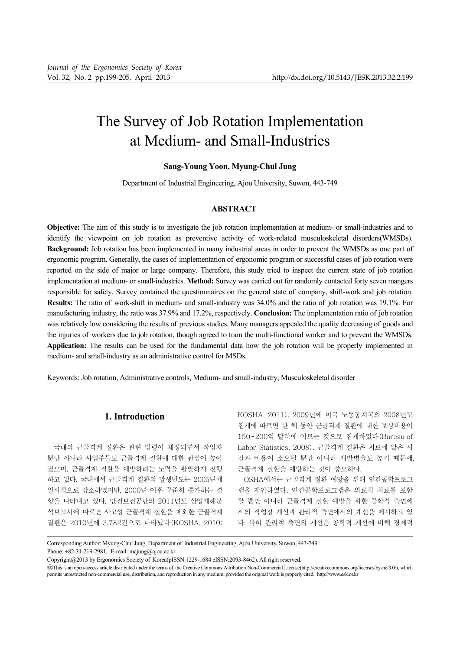# The Survey of Job Rotation Implementation at Medium- and Small-Industries

# **Sang-Young Yoon, Myung-Chul Jung**

Department of Industrial Engineering, Ajou University, Suwon, 443-749

# **ABSTRACT**

**Objective:** The aim of this study is to investigate the job rotation implementation at medium- or small-industries and to identify the viewpoint on job rotation as preventive activity of work-related musculoskeletal disorders(WMSDs). **Background:** Job rotation has been implemented in many industrial areas in order to prevent the WMSDs as one part of ergonomic program. Generally, the cases of implementation of ergonomic program or successful cases of job rotation were reported on the side of major or large company. Therefore, this study tried to inspect the current state of job rotation implementation at medium- or small-industries. **Method:** Survey was carried out for randomly contacted forty seven mangers responsible for safety. Survey contained the questionnaires on the general state of company, shift-work and job rotation. **Results:** The ratio of work-shift in medium- and small-industry was 34.0% and the ratio of job rotation was 19.1%. For manufacturing industry, the ratio was 37.9% and 17.2%, respectively. **Conclusion:** The implementation ratio of job rotation was relatively low considering the results of previous studies. Many managers appealed the quality decreasing of goods and the injuries of workers due to job rotation, though agreed to train the multi-functional worker and to prevent the WMSDs. **Application:** The results can be used for the fundamental data how the job rotation will be properly implemented in medium- and small-industry as an administrative control for MSDs.

Keywords: Job rotation, Administrative controls, Medium- and small-industry, Musculoskeletal disorder

# **1. Introduction**

국내의 근골격계 질환은 관련 법령이 제정되면서 작업자 뿐만 아니라 사업주들도 근골격계 질환에 대한 관심이 높아 졌으며, 근골격계 질환을 예방하려는 노력을 활발하게 진행 하고 있다. 국내에서 근골격계 질환의 발생빈도는 2005년에 일시적으로 감소하였지만, 2000년 이후 꾸준히 증가하는 경 향을 나타내고 있다. 안전보건공단의 2011년도 산업재해분 석보고서에 따르면 사고성 근골격계 질환을 제외한 근골격계 질환은 2010년에 3,782건으로 나타났다(KOSHA, 2010;

KOSHA, 2011). 2009년에 미국 노동통계국의 2008년도 집계에 따르면 한 해 동안 근골격계 질환에 대한 보상비용이 150~200억 달러에 이르는 것으로 집계하였다(Bureau of Labor Statistics, 2008). 근골격계 질환은 치료에 많은 시 간과 비용이 소요될 뿐만 아니라 재발병율도 높기 때문에, 근골격계 질환을 예방하는 것이 중요하다.

OSHA에서는 근골격계 질환 예방을 위해 인간공학프로그 램을 제안하였다. 인간공학프로그램은 의료적 치료를 포함 할 뿐만 아니라 근골격계 질환 예방을 위한 공학적 측면에 서의 작업장 개선과 관리적 측면에서의 개선을 제시하고 있 다. 특히 관리적 측면의 개선은 공학적 개선에 비해 경제적

Corresponding Author: Myung-Chul Jung, Department of Industrial Engineering, Ajou University, Suwon, 443-749.

Phone: +82-31-219-2981, E-mail: mcjung@ajou.ac.kr

Copyright@2013 by Ergonomics Society of Korea(pISSN:1229-1684 eISSN:2093-8462). All right reserved.

CThis is an open-access article distributed under the terms of the Creative Commons Attribution Non-Commercial License(http://creativecommons.org/licenses/by-nc/3.0/), which permits unrestricted non-commercial use, distribution, and reproduction in any medium, provided the original work is properly cited. http://www.esk.or.kr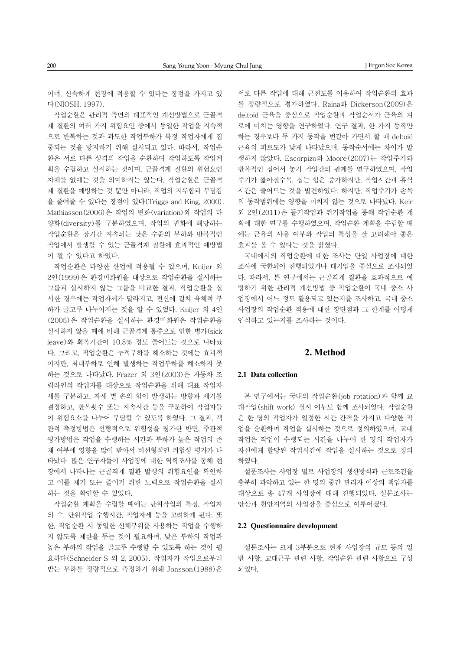이며, 신속하게 현장에 적용할 수 있다는 장점을 가지고 있 다(NIOSH, 1997).

작업순환은 관리적 측면의 대표적인 개선방법으로 근골격 계 질환의 여러 가지 위험요인 중에서 동일한 작업을 지속적 으로 반복하는 것과 과도한 작업부하가 특정 작업자에게 집 중되는 것을 방지하기 위해 실시되고 있다. 따라서, 작업순 환은 서로 다른 성격의 작업을 순환하며 작업하도록 작업계 획을 수립하고 실시하는 것이며, 근골격계 질환의 위험요인 자체를 없애는 것을 의미하지는 않는다. 작업순환은 근골격 계 질환을 예방하는 것 뿐만 아니라, 작업의 지루함과 부담감 을 줄여줄 수 있다는 장점이 있다(Triggs and King, 2000). Mathiassen(2006)은 작업의 변화(variation)와 작업의 다 양화(diversity)를 구분하였으며, 작업의 변화에 해당하는 작업순환은 장기간 지속되는 낮은 수준의 부하와 반복적인 작업에서 발생할 수 있는 근골격계 질환에 효과적인 예방법 이 될 수 있다고 하였다.

작업순환은 다양한 산업에 적용될 수 있으며, Kuijer 외 2인(1999)은 환경미화원을 대상으로 작업순환을 실시하는 그룹과 실시하지 않는 그룹을 비교한 결과, 작업순환을 실 시한 경우에는 작업자세가 달라지고, 전신에 걸쳐 육체적 부 하가 골고루 나누어지는 것을 알 수 있었다. Kuijer 외 4인 (2005)은 작업순환을 실시하는 환경미화원은 작업순환을 실시하지 않을 때에 비해 근골격계 통증으로 인한 병가(sick leave)와 회복기간이 10.8% 정도 줄어드는 것으로 나타났 다. 그리고, 작업순환은 누적부하를 해소하는 것에는 효과적 이지만, 최대부하로 인해 발생하는 작업부하를 해소하지 못 하는 것으로 나타났다. Frazer 외 3인(2003)은 자동차 조 립라인의 작업자를 대상으로 작업순환을 위해 대표 작업자 세를 구분하고, 자세 별 손의 힘이 발생하는 방향과 세기를 결정하고, 반복횟수 또는 지속시간 등을 구분하여 작업자들 이 위험요소를 나누어 부담할 수 있도록 하였다. 그 결과, 객 관적 측정방법은 선형적으로 위험성을 평가한 반면, 주관적 평가방법은 작업을 수행하는 시간과 부하가 높은 작업의 존 재 여부에 영향을 많이 받아서 비선형적인 위험성 평가가 나 타났다. 많은 연구자들이 사업장에 대한 역학조사를 통해 현 장에서 나타나는 근골격계 질환 발생의 위험요인을 확인하 고 이를 제거 또는 줄이기 위한 노력으로 작업순환을 실시 하는 것을 확인할 수 있었다.

작업순환 계획을 수립할 때에는 단위작업의 특징, 작업자 의 수, 단위작업 수행시간, 작업자세 등을 고려하게 된다. 또 한, 작업순환 시 동일한 신체부위를 사용하는 작업을 수행하 지 않도록 제한을 두는 것이 필요하며, 낮은 부하의 작업과 높은 부하의 작업을 골고루 수행할 수 있도록 하는 것이 필 요하다(Schneider S 외 2, 2005). 작업자가 작업으로부터 받는 부하를 정량적으로 측정하기 위해 Jonsson(1988)은

서로 다른 작업에 대해 근전도를 이용하여 작업순환의 효과 를 정량적으로 평가하였다. Raina와 Dickerson(2009)은 deltoid 근육을 중심으로 작업순환과 작업순서가 근육의 피 로에 미치는 영향을 연구하였다. 연구 결과, 한 가지 동작만 하는 경우보다 두 가지 동작을 번갈아 가면서 할 때 deltoid 근육의 피로도가 낮게 나타났으며, 동작순서에는 차이가 발 생하지 않았다. Escorpizo와 Moore(2007)는 작업주기와 반복적인 집어서 놓기 작업간의 관계를 연구하였으며, 작업 주기가 짧아질수록, 집는 힘은 증가하지만, 작업시간과 휴식 시간은 줄어드는 것을 발견하였다. 하지만, 작업주기가 손목 의 동작범위에는 영향을 미치지 않는 것으로 나타났다. Keir 외 2인(2011)은 들기작업과 쥐기작업을 통해 작업순환 계 획에 대한 연구를 수행하였으며, 작업순환 계획을 수립할 때 에는 근육의 사용 여부와 작업의 특성을 잘 고려해야 좋은 효과를 볼 수 있다는 것을 밝혔다.

국내에서의 작업순환에 대한 조사는 단일 사업장에 대한 조사에 국한되어 진행되었거나 대기업을 중심으로 조사되었 다. 따라서, 본 연구에서는 근골격계 질환을 효과적으로 예 방하기 위한 관리적 개선방법 중 작업순환이 국내 중소 사 업장에서 어느 정도 활용되고 있는지를 조사하고, 국내 중소 사업장의 작업순환 적용에 대한 장단점과 그 한계를 어떻게 인식하고 있는지를 조사하는 것이다.

### **2. Method**

### **2.1 Data collection**

본 연구에서는 국내의 작업순환(job rotation)과 함께 교 대작업(shift work) 실시 여부도 함께 조사되었다. 작업순환 은 한 명의 작업자가 일정한 시간 간격을 가지고 다양한 작 업을 순환하며 작업을 실시하는 것으로 정의하였으며, 교대 작업은 작업이 수행되는 시간을 나누어 한 명의 작업자가 자신에게 할당된 작업시간에 작업을 실시하는 것으로 정의 하였다.

설문조사는 사업장 별로 사업장의 생산방식과 근로조건을 충분히 파악하고 있는 한 명의 중간 관리자 이상의 책임자를 대상으로 총 47개 사업장에 대해 진행되었다. 설문조사는 안산과 천안지역의 사업장을 중심으로 이루어졌다.

#### **2.2 Questionnaire development**

설문조사는 크게 3부분으로 현재 사업장의 규모 등의 일 반 사항, 교대근무 관련 사항, 작업순환 관련 사항으로 구성 되었다.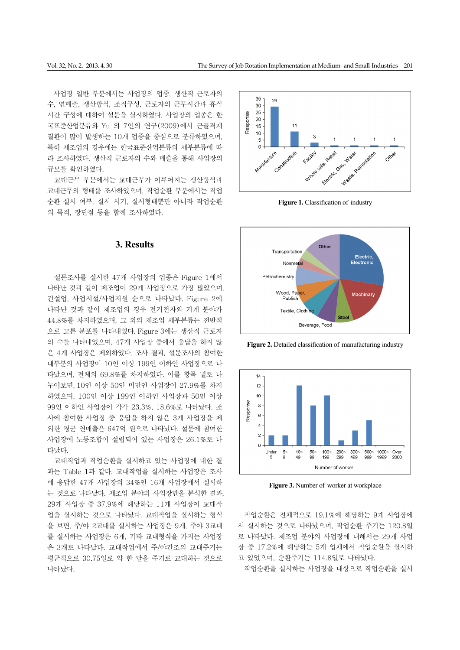사업장 일반 부분에서는 사업장의 업종, 생산직 근로자의 수, 연매출, 생산방식, 조직구성, 근로자의 근무시간과 휴식 시간 구성에 대하여 설문을 실시하였다. 사업장의 업종은 한 국표준산업분류와 Yu 외 7인의 연구(2009)에서 근골격계 질환이 많이 발생하는 10개 업종을 중심으로 분류하였으며, 특히 제조업의 경우에는 한국표준산업분류의 세부분류에 따 라 조사하였다. 생산직 근로자의 수와 매출을 통해 사업장의 규모를 확인하였다.

교대근무 부분에서는 교대근무가 이루어지는 생산방식과 교대근무의 형태를 조사하였으며, 작업순환 부분에서는 작업 순환 실시 여부, 실시 시기, 실시형태뿐만 아니라 작업순환 의 목적, 장단점 등을 함께 조사하였다.

# **3. Results**

설문조사를 실시한 47개 사업장의 업종은 Figure 1에서 나타난 것과 같이 제조업이 29개 사업장으로 가장 많았으며, 건설업, 사업시설/사업지원 순으로 나타났다. Figure 2에 나타난 것과 같이 제조업의 경우 전기전자와 기계 분야가 44.8%를 차지하였으며, 그 외의 제조업 세부분류는 전반적 으로 고른 분포를 나타내었다. Figure 3에는 생산직 근로자 의 수를 나타내었으며, 47개 사업장 중에서 응답을 하지 않 은 4개 사업장은 제외하였다. 조사 결과, 설문조사의 참여한 대부분의 사업장이 10인 이상 199인 이하인 사업장으로 나 타났으며, 전체의 69.8%를 차지하였다. 이를 항목 별로 나 누어보면, 10인 이상 50인 미만인 사업장이 27.9%를 차지 하였으며, 100인 이상 199인 이하인 사업장과 50인 이상 99인 이하인 사업장이 각각 23.3%, 18.6%로 나타났다. 조 사에 참여한 사업장 중 응답을 하지 않은 3개 사업장을 제 외한 평균 연매출은 647억 원으로 나타났다. 설문에 참여한 사업장에 노동조합이 설립되어 있는 사업장은 26.1%로 나 타났다.

교대작업과 작업순환을 실시하고 있는 사업장에 대한 결 과는 Table 1과 같다. 교대작업을 실시하는 사업장은 조사 에 응답한 47개 사업장의 34%인 16개 사업장에서 실시하 는 것으로 나타났다. 제조업 분야의 사업장만을 분석한 결과, 29개 사업장 중 37.9%에 해당하는 11개 사업장이 교대작 업을 실시하는 것으로 나타났다. 교대작업을 실시하는 형식 을 보면, 주/야 2교대를 실시하는 사업장은 9개, 주야 3교대 를 실시하는 사업장은 6개, 기타 교대형식을 가지는 사업장 은 3개로 나타났다. 교대작업에서 주/야간조의 교대주기는 평균적으로 30.75일로 약 한 달을 주기로 교대하는 것으로 나타났다.



**Figure 1.** Classification of industry



**Figure 2.** Detailed classification of manufacturing industry



Figure 3. Number of worker at workplace

작업순환은 전체적으로 19.1%에 해당하는 9개 사업장에 서 실시하는 것으로 나타났으며, 작업순환 주기는 120.8일 로 나타났다. 제조업 분야의 사업장에 대해서는 29개 사업 장 중 17.2%에 해당하는 5개 업체에서 작업순환을 실시하 고 있었으며, 순환주기는 114.8일로 나타났다.

작업순환을 실시하는 사업장을 대상으로 작업순환을 실시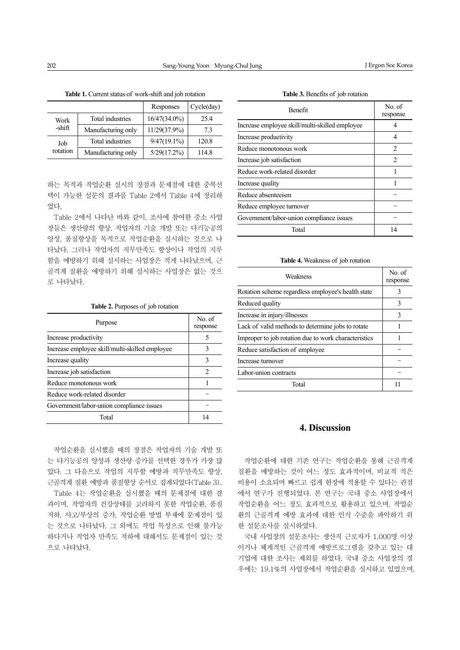|                 |                         | Responses      | Cycle (day) |
|-----------------|-------------------------|----------------|-------------|
| Work<br>-shift  | <b>Total industries</b> | 16/47(34.0%)   | 25.4        |
|                 | Manufacturing only      | 11/29(37.9%)   | 73          |
| Job<br>rotation | Total industries        | $9/47(19.1\%)$ | 120.8       |
|                 | Manufacturing only      | $5/29(17.2\%)$ | 114.8       |

하는 목적과 작업순환 실시의 장점과 문제점에 대한 중복선 택이 가능한 설문의 결과를 Table 2에서 Table 4에 정리하 였다.

Table 2에서 나타난 바와 같이, 조사에 참여한 중소 사업 장들은 생산량의 향상, 작업자의 기술 개발 또는 다기능공의 양성, 품질향상을 목적으로 작업순환을 실시하는 것으로 나 타났다. 그러나 작업자의 직무만족도 향상이나 작업의 지루 함을 예방하기 위해 실시하는 사업장은 적게 나타났으며, 근 골격계 질환을 예방하기 위해 실시하는 사업장은 없는 것으 로 나타났다.

| <b>Table 2.</b> Purposes of job rotation |  |
|------------------------------------------|--|
|------------------------------------------|--|

| Purpose                                        | No of<br>response |
|------------------------------------------------|-------------------|
| Increase productivity                          | 5                 |
| Increase employee skill/multi-skilled employee | 3                 |
| Increase quality                               | 3                 |
| Increase job satisfaction                      | $\mathfrak{D}$    |
| Reduce monotonous work                         |                   |
| Reduce work-related disorder                   |                   |
| Government/labor-union compliance issues       |                   |
| Total                                          | 14                |

작업순환을 실시했을 때의 장점은 작업자의 기술 개발 또 는 다기능공의 양성과 생산량 증가를 선택한 경우가 가장 많 았다. 그 다음으로 작업의 지루함 예방과 직무만족도 향상, 근골격계 질환 예방과 품질향상 순서로 집계되었다(Table 3).

Table 4는 작업순환을 실시했을 때의 문제점에 대한 결 과이며, 작업자의 건강상태를 고려하지 못한 작업순환, 품질 저하, 사고/부상의 증가, 작업순환 방법 부재에 문제점이 있 는 것으로 나타났다. 그 외에도 작업 특성으로 인해 불가능 하다거나 작업자 만족도 저하에 대해서도 문제점이 있는 것 으로 나타났다.

| Table 3. Benefits of job rotation |
|-----------------------------------|
|-----------------------------------|

| <b>Benefit</b>                                 | No of<br>response             |
|------------------------------------------------|-------------------------------|
| Increase employee skill/multi-skilled employee |                               |
| Increase productivity                          |                               |
| Reduce monotonous work                         | 2                             |
| Increase job satisfaction                      | $\mathfrak{D}_{\mathfrak{p}}$ |
| Reduce work-related disorder                   |                               |
| Increase quality                               |                               |
| Reduce absenteeism                             |                               |
| Reduce employee turnover                       |                               |
| Government/labor-union compliance issues       |                               |
| Total                                          | 14                            |

#### **Table 4.** Weakness of job rotation

| Weakness                                             | No. of<br>response |
|------------------------------------------------------|--------------------|
| Rotation scheme regardless employee's health state   | 3                  |
| Reduced quality                                      | 3                  |
| Increase in injury/illnesses                         | 3                  |
| Lack of valid methods to determine jobs to rotate    |                    |
| Improper to job rotation due to work characteristics |                    |
| Reduce satisfaction of employee                      |                    |
| Increase turnover                                    |                    |
| Labor-union contracts                                |                    |
| Total                                                |                    |

# **4. Discussion**

작업순환에 대한 기존 연구는 작업순환을 통해 근골격계 질환을 예방하는 것이 어느 정도 효과적이며, 비교적 적은 비용이 소요되며 빠르고 쉽게 현장에 적용할 수 있다는 관점 에서 연구가 진행되었다. 본 연구는 국내 중소 사업장에서 작업순환을 어느 정도 효과적으로 활용하고 있으며, 작업순 환의 근골격계 예방 효과에 대한 인식 수준을 파악하기 위 한 설문조사를 실시하였다.

국내 사업장의 설문조사는 생산직 근로자가 1,000명 이상 이거나 체계적인 근골격계 예방프로그램을 갖추고 있는 대 기업에 대한 조사는 제외를 하였다. 국내 중소 사업장의 경 우에는 19.1%의 사업장에서 작업순환을 실시하고 있었으며,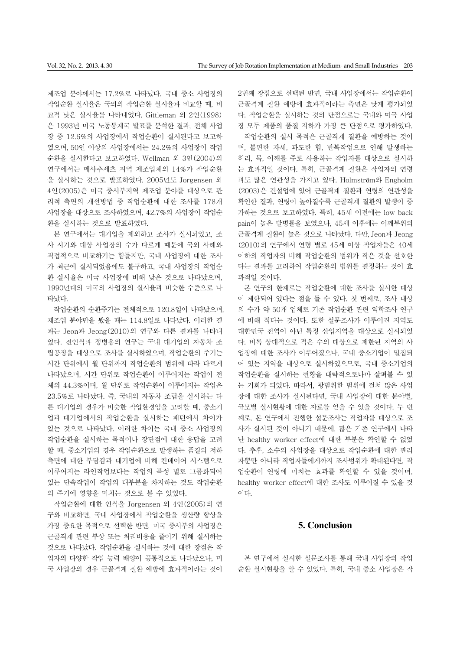제조업 분야에서는 17.2%로 나타났다. 국내 중소 사업장의 작업순환 실시율은 국외의 작업순환 실시율과 비교할 때, 비 교적 낮은 실시율를 나타내었다. Gittleman 외 2인(1998) 은 1993년 미국 노동통계국 발표를 분석한 결과, 전체 사업 장 중 12.6%의 사업장에서 작업순환이 실시된다고 보고하 였으며, 50인 이상의 사업장에서는 24.2%의 사업장이 작업 순환을 실시한다고 보고하였다. Wellman 외 3인(2004)의 연구에서는 메사추세츠 지역 제조업체의 14%가 작업순환 을 실시하는 것으로 발표하였다. 2005년도 Jorgensen 외 4인(2005)은 미국 중서부지역 제조업 분야를 대상으로 관 리적 측면의 개선방법 중 작업순환에 대한 조사를 178개 사업장을 대상으로 조사하였으며, 42.7%의 사업장이 작업순 환을 실시하는 것으로 발표하였다.

본 연구에서는 대기업을 제외하고 조사가 실시되었고, 조 사 시기와 대상 사업장의 수가 다르게 때문에 국외 사례와 직접적으로 비교하기는 힘들지만, 국내 사업장에 대한 조사 가 최근에 실시되었음에도 불구하고, 국내 사업장의 작업순 환 실시율은 미국 사업장에 비해 낮은 것으로 나타났으며, 1990년대의 미국의 사업장의 실시율과 비슷한 수준으로 나 타났다.

작업순환의 순환주기는 전체적으로 120.8일이 나타났으며, 제조업 분야만을 봤을 때는 114.8일로 나타났다. 이러한 결 과는 Jeon과 Jeong(2010)의 연구와 다른 결과를 나타내 었다. 전인식과 정병용의 연구는 국내 대기업의 자동차 조 립공장을 대상으로 조사를 실시하였으며, 작업순환의 주기는 시간 단위에서 월 단위까지 작업순환의 범위에 따라 다르게 나타났으며, 시간 단위로 작업순환이 이루어지는 작업이 전 체의 44.3%이며, 월 단위로 작업순환이 이루어지는 작업은 23.5%로 나타났다. 즉, 국내의 자동차 조립을 실시하는 다 른 대기업의 경우가 비슷한 작업환경임을 고려할 때, 중소기 업과 대기업에서의 작업순환을 실시하는 패턴에서 차이가 있는 것으로 나타났다. 이러한 차이는 국내 중소 사업장의 작업순환을 실시하는 목적이나 장단점에 대한 응답을 고려 할 때, 중소기업의 경우 작업순환으로 발생하는 품질의 저하 측면에 대한 부담감과 대기업에 비해 컨베이어 시스템으로 이루어지는 라인작업보다는 작업의 특성 별로 그룹화되어 있는 단속작업이 작업의 대부분을 차지하는 것도 작업순환 의 주기에 영향을 미치는 것으로 볼 수 있었다.

작업순환에 대한 인식을 Jorgensen 외 4인(2005)의 연 구와 비교하면, 국내 사업장에서 작업순환을 생산량 향상을 가장 중요한 목적으로 선택한 반면, 미국 중서부의 사업장은 근골격계 관련 부상 또는 처리비용을 줄이기 위해 실시하는 것으로 나타났다. 작업순환을 실시하는 것에 대한 장점은 작 업자의 다양한 작업 능력 배양이 공통적으로 나타났으나, 미 국 사업장의 경우 근골격계 질환 예방에 효과적이라는 것이 2번째 장점으로 선택된 반면, 국내 사업장에서는 작업순환이 근골격계 질환 예방에 효과적이라는 측면은 낮게 평가되었 다. 작업순환을 실시하는 것의 단점으로는 국내와 미국 사업 장 모두 제품의 품질 저하가 가장 큰 단점으로 평가하였다.

작업순환의 실시 목적은 근골격계 질환을 예방하는 것이 며, 불편한 자세, 과도한 힘, 반복작업으로 인해 발생하는 허리, 목, 어깨를 주로 사용하는 작업자를 대상으로 실시하 는 효과적일 것이다. 특히, 근골격계 질환은 작업자의 연령 과도 많은 연관성을 가지고 있다. Holmström와 Engholm (2003)은 건설업에 있어 근골격계 질환과 연령의 연관성을 확인한 결과, 연령이 높아질수록 근골격계 질환의 발생이 증 가하는 것으로 보고하였다. 특히, 45세 이전에는 low back pain이 높은 발병률을 보였으나, 45세 이후에는 어깨부위의 근골격계 질환이 높은 것으로 나타났다. 다만, Jeon과 Jeong (2010)의 연구에서 연령 별로 45세 이상 작업자들은 40세 이하의 작업자의 비해 작업순환의 범위가 작은 것을 선호한 다는 결과를 고려하여 작업순환의 범위를 결정하는 것이 효 과적일 것이다.

본 연구의 한계로는 작업순환에 대한 조사를 실시한 대상 이 제한되어 있다는 점을 들 수 있다. 첫 번째로, 조사 대상 의 수가 약 50개 업체로 기존 작업순환 관련 역학조사 연구 에 비해 적다는 것이다. 또한 설문조사가 이루어진 지역도 대한민국 전역이 아닌 특정 산업지역을 대상으로 실시되었 다. 비록 상대적으로 적은 수의 대상으로 제한된 지역의 사 업장에 대한 조사가 이루어졌으나, 국내 중소기업이 밀집되 어 있는 지역을 대상으로 실시하였으므로, 국내 중소기업의 작업순환을 실시하는 현황을 대략적으로나마 살펴볼 수 있 는 기회가 되었다. 따라서, 광범위한 범위에 걸쳐 많은 사업 장에 대한 조사가 실시된다면, 국내 사업장에 대한 분야별, 규모별 실시현황에 대한 자료를 얻을 수 있을 것이다. 두 번 째로, 본 연구에서 진행한 설문조사는 작업자를 대상으로 조 사가 실시된 것이 아니기 때문에, 많은 기존 연구에서 나타 난 healthy worker effect에 대한 부분은 확인할 수 없었 다. 추후, 소수의 사업장을 대상으로 작업순환에 대한 관리 자뿐만 아니라 작업자들에게까지 조사범위가 확대된다면, 작 업순환이 연령에 미치는 효과를 확인할 수 있을 것이며, healthy worker effect에 대한 조사도 이루어질 수 있을 것 이다.

# **5. Conclusion**

본 연구에서 실시한 설문조사를 통해 국내 사업장의 작업 순환 실시현황을 알 수 있었다. 특히, 국내 중소 사업장은 작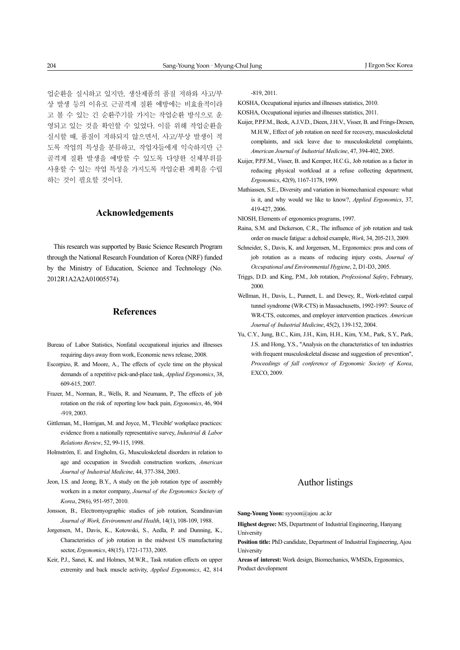업순환을 실시하고 있지만, 생산제품의 품질 저하와 사고/부 상 발생 등의 이유로 근골격계 질환 예방에는 비효율적이라 고 볼 수 있는 긴 순환주기를 가지는 작업순환 방식으로 운 영되고 있는 것을 확인할 수 있었다. 이를 위해 작업순환을 실시할 때, 품질이 저하되지 않으면서, 사고/부상 발생이 적 도록 작업의 특성을 분류하고, 작업자들에게 익숙하지만 근 골격계 질환 발생을 예방할 수 있도록 다양한 신체부위를 사용할 수 있는 작업 특성을 가지도록 작업순환 계획을 수립 하는 것이 필요할 것이다.

### **Acknowledgements**

This research was supported by Basic Science Research Program through the National Research Foundation of Korea (NRF) funded by the Ministry of Education, Science and Technology (No. 2012R1A2A2A01005574).

# **References**

- Bureau of Labor Statistics, Nonfatal occupational injuries and illnesses requiring days away from work, Economic news release, 2008.
- Escorpizo, R. and Moore, A., The effects of cycle time on the physical demands of a repetitive pick-and-place task, *Applied Ergonomics*, 38, 609-615, 2007.
- Frazer, M., Norman, R., Wells, R. and Neumann, P., The effects of job rotation on the risk of reporting low back pain, *Ergonomics*, 46, 904 -919, 2003.
- Gittleman, M., Horrigan, M. and Joyce, M., 'Flexible' workplace practices: evidence from a nationally representative survey, *Industrial & Labor Relations Review*, 52, 99-115, 1998.
- Holmström, E. and Engholm, G., Musculoskeletal disorders in relation to age and occupation in Swedish construction workers, *American Journal of Industrial Medicine*, 44, 377-384, 2003.
- Jeon, I.S. and Jeong, B.Y., A study on the job rotation type of assembly workers in a motor company, *Journal of the Ergonomics Society of Korea*, 29(6), 951-957, 2010.
- Jonsson, B., Electromyographic studies of job rotation, Scandinavian *Journal of Work, Environment and Health*, 14(1), 108-109, 1988.
- Jorgensen, M., Davis, K., Kotowski, S., Aedla, P. and Dunning, K., Characteristics of job rotation in the midwest US manufacturing sector, *Ergonomics*, 48(15), 1721-1733, 2005.
- Keir, P.J., Sanei, K. and Holmes, M.W.R., Task rotation effects on upper extremity and back muscle activity, *Applied Ergonomics*, 42, 814

-819, 2011.

KOSHA, Occupational injuries and illnesses statistics, 2010.

KOSHA, Occupational injuries and illnesses statistics, 2011.

- Kuijer, P.P.F.M., Beek, A.J.V.D., Dieen, J.H.V., Visser, B. and Frings-Dresen, M.H.W., Effect of job rotation on need for recovery, musculoskeletal complaints, and sick leave due to musculoskeletal complaints, *American Journal of Industrial Medicine*, 47, 394-402, 2005.
- Kuijer, P.P.F.M., Visser, B. and Kemper, H.C.G., Job rotation as a factor in reducing physical workload at a refuse collecting department, *Ergonomics*, 42(9), 1167-1178, 1999.
- Mathiassen, S.E., Diversity and variation in biomechanical exposure: what is it, and why would we like to know?, *Applied Ergonomics*, 37, 419-427, 2006.

NIOSH, Elements of ergonomics programs, 1997.

- Raina, S.M. and Dickerson, C.R., The influence of job rotation and task order on muscle fatigue: a deltoid example, *Work*, 34, 205-213, 2009.
- Schneider, S., Davis, K. and Jorgensen, M., Ergonomics: pros and cons of job rotation as a means of reducing injury costs, *Journal of Occupational and Environmental Hygiene*, 2, D1-D3, 2005.
- Triggs, D.D. and King, P.M., Job rotation, *Professional Safety*, February, 2000.
- Wellman, H., Davis, L., Punnett, L. and Dewey, R., Work-related carpal tunnel syndrome (WR-CTS) in Massachusetts, 1992-1997: Source of WR-CTS, outcomes, and employer intervention practices. *American Journal of Industrial Medicine*, 45(2), 139-152, 2004.
- Yu, C.Y., Jung, B.C., Kim, J.H., Kim, H.H., Kim, Y.M., Park, S.Y., Park, J.S. and Hong, Y.S., "Analysis on the characteristics of ten industries with frequent musculoskeletal disease and suggestion of prevention", *Proceedings of fall conference of Ergonomic Society of Korea*, EXCO, 2009.

# Author listings

**Sang-Young Yoon:** syyoon@ajou .ac.kr

- **Highest degree:** MS, Department of Industrial Engineering, Hanyang **University**
- **Position title:** PhD candidate, Department of Industrial Engineering, Ajou University

**Areas of interest:** Work design, Biomechanics, WMSDs, Ergonomics, Product development